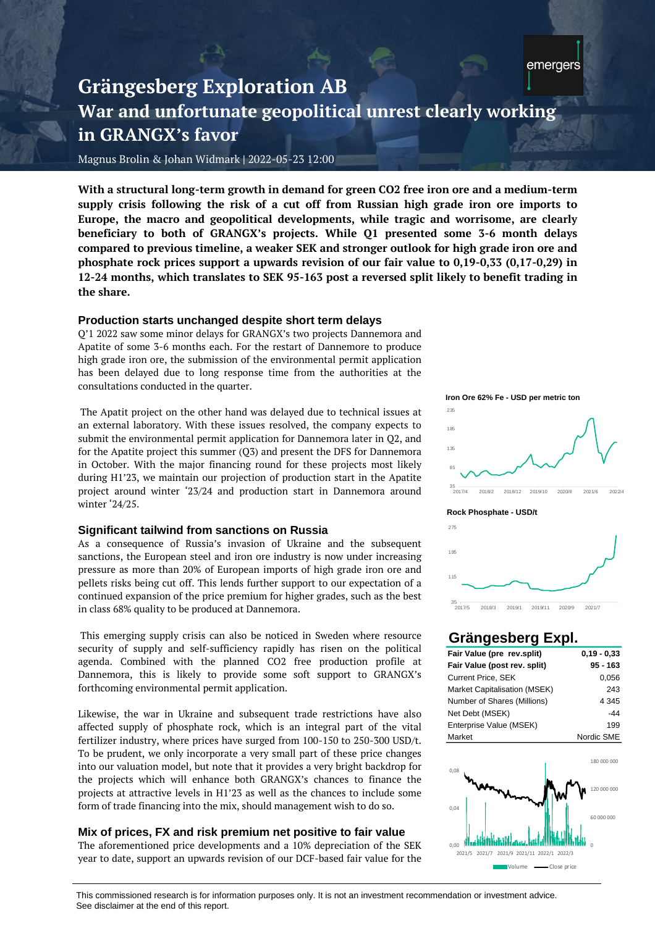# **Grängesberg Exploration AB War and unfortunate geopolitical unrest clearly working in GRANGX's favor**

Magnus Brolin & Johan Widmark **|** 2022-05-23 12:00

**With a structural long-term growth in demand for green CO2 free iron ore and a medium-term supply crisis following the risk of a cut off from Russian high grade iron ore imports to Europe, the macro and geopolitical developments, while tragic and worrisome, are clearly beneficiary to both of GRANGX's projects. While Q1 presented some 3-6 month delays compared to previous timeline, a weaker SEK and stronger outlook for high grade iron ore and phosphate rock prices support a upwards revision of our fair value to 0,19-0,33 (0,17-0,29) in 12-24 months, which translates to SEK 95-163 post a reversed split likely to benefit trading in the share.**

# **Production starts unchanged despite short term delays**

Q'1 2022 saw some minor delays for GRANGX's two projects Dannemora and Apatite of some 3-6 months each. For the restart of Dannemore to produce high grade iron ore, the submission of the environmental permit application has been delayed due to long response time from the authorities at the consultations conducted in the quarter.

The Apatit project on the other hand was delayed due to technical issues at an external laboratory. With these issues resolved, the company expects to submit the environmental permit application for Dannemora later in Q2, and for the Apatite project this summer (Q3) and present the DFS for Dannemora in October. With the major financing round for these projects most likely during H1'23, we maintain our projection of production start in the Apatite project around winter '23/24 and production start in Dannemora around winter '24/25.

# **Significant tailwind from sanctions on Russia**

As a consequence of Russia's invasion of Ukraine and the subsequent sanctions, the European steel and iron ore industry is now under increasing pressure as more than 20% of European imports of high grade iron ore and pellets risks being cut off. This lends further support to our expectation of a continued expansion of the price premium for higher grades, such as the best in class 68% quality to be produced at Dannemora.

This emerging supply crisis can also be noticed in Sweden where resource security of supply and self-sufficiency rapidly has risen on the political agenda. Combined with the planned CO2 free production profile at Dannemora, this is likely to provide some soft support to GRANGX's forthcoming environmental permit application.

Likewise, the war in Ukraine and subsequent trade restrictions have also affected supply of phosphate rock, which is an integral part of the vital fertilizer industry, where prices have surged from 100-150 to 250-300 USD/t. To be prudent, we only incorporate a very small part of these price changes into our valuation model, but note that it provides a very bright backdrop for the projects which will enhance both GRANGX's chances to finance the projects at attractive levels in H1'23 as well as the chances to include some form of trade financing into the mix, should management wish to do so.

# **Mix of prices, FX and risk premium net positive to fair value**

The aforementioned price developments and a 10% depreciation of the SEK year to date, support an upwards revision of our DCF-based fair value for the

**Iron Ore 62% Fe - USD per metric ton**









# **Grängesberg Expl.**

| Fair Value (pre rev.split)   | $0.19 - 0.33$ |  |  |  |  |
|------------------------------|---------------|--|--|--|--|
| Fair Value (post rev. split) | 95 - 163      |  |  |  |  |
| <b>Current Price, SEK</b>    | 0.056         |  |  |  |  |
| Market Capitalisation (MSEK) | 243           |  |  |  |  |
| Number of Shares (Millions)  | 4 3 4 5       |  |  |  |  |
| Net Debt (MSEK)              | $-44$         |  |  |  |  |
| Enterprise Value (MSEK)      | 199           |  |  |  |  |
| Market                       | Nordic SME    |  |  |  |  |



This commissioned research is for information purposes only. It is not an investment recommendation or investment advice.<br>See disclaimer at the end of this report. The aforementioned price developments and a 10% depreciation of the SEK  $_{0.00}$   $_{2021/5}$   $_{2021/7}$   $_{2021/9}$   $_{2021/1}$   $_{2021/3}$   $_{2021/1}$   $_{2021/2}$   $_{2021/2}$   $_{2021/3}$   $_{2021/4}$   $_{2021/5}$   $_{2021/5}$   $_{2021/5$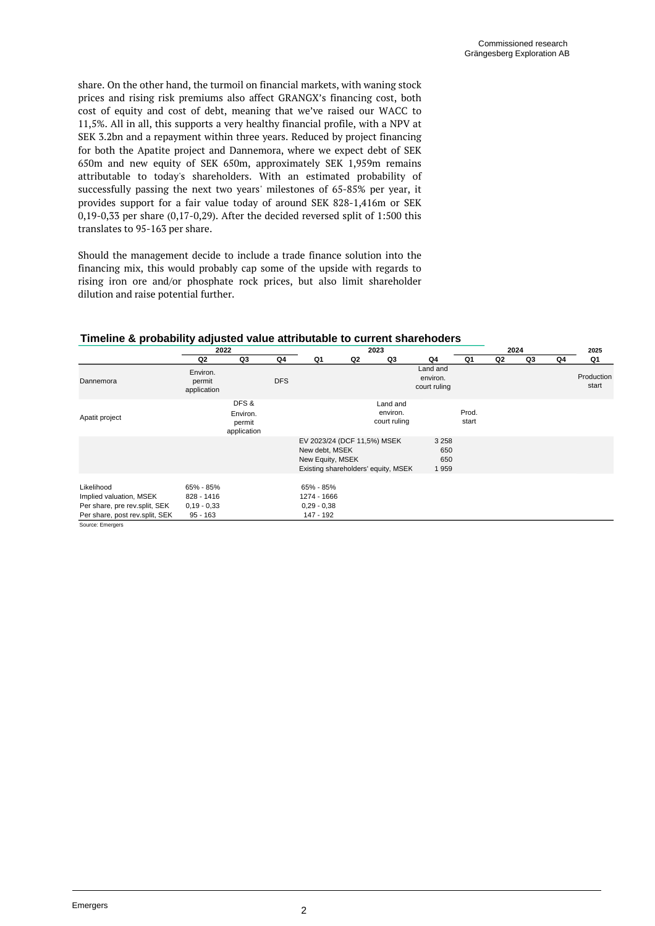share. On the other hand, the turmoil on financial markets, with waning stock prices and rising risk premiums also affect GRANGX's financing cost, both cost of equity and cost of debt, meaning that we've raised our WACC to 11,5%. All in all, this supports a very healthy financial profile, with a NPV at SEK 3.2bn and a repayment within three years. Reduced by project financing for both the Apatite project and Dannemora, where we expect debt of SEK 650m and new equity of SEK 650m, approximately SEK 1,959m remains attributable to today's shareholders. With an estimated probability of successfully passing the next two years' milestones of 65-85% per year, it provides support for a fair value today of around SEK 828-1,416m or SEK 0,19-0,33 per share (0,17-0,29). After the decided reversed split of 1:500 this translates to 95-163 per share.

Should the management decide to include a trade finance solution into the financing mix, this would probably cap some of the upside with regards to rising iron ore and/or phosphate rock prices, but also limit shareholder dilution and raise potential further.

|  | Timeline & probability adjusted value attributable to current sharehoders |
|--|---------------------------------------------------------------------------|
|--|---------------------------------------------------------------------------|

|                                                                                                          | 2022                                                   |                                           | 2023       |                                                                   |                |                                      | 2024                                 |                |    |    | 2025 |                     |
|----------------------------------------------------------------------------------------------------------|--------------------------------------------------------|-------------------------------------------|------------|-------------------------------------------------------------------|----------------|--------------------------------------|--------------------------------------|----------------|----|----|------|---------------------|
|                                                                                                          | Q2                                                     | Q3                                        | Q4         | Q1                                                                | Q <sub>2</sub> | Q3                                   | Q4                                   | Q1             | Q2 | Q3 | Q4   | Q1                  |
| Dannemora                                                                                                | Environ.<br>permit<br>application                      |                                           | <b>DFS</b> |                                                                   |                |                                      | Land and<br>environ.<br>court ruling |                |    |    |      | Production<br>start |
| Apatit project                                                                                           |                                                        | DFS&<br>Environ.<br>permit<br>application |            |                                                                   |                | Land and<br>environ.<br>court ruling |                                      | Prod.<br>start |    |    |      |                     |
|                                                                                                          |                                                        |                                           |            | EV 2023/24 (DCF 11,5%) MSEK<br>New debt, MSEK<br>New Equity, MSEK |                | Existing shareholders' equity, MSEK  | 3 2 5 8<br>650<br>650<br>1959        |                |    |    |      |                     |
| Likelihood<br>Implied valuation, MSEK<br>Per share, pre rev.split, SEK<br>Per share, post rev.split, SEK | 65% - 85%<br>828 - 1416<br>$0,19 - 0,33$<br>$95 - 163$ |                                           |            | 65% - 85%<br>1274 - 1666<br>$0,29 - 0,38$<br>147 - 192            |                |                                      |                                      |                |    |    |      |                     |

Source: Emergers